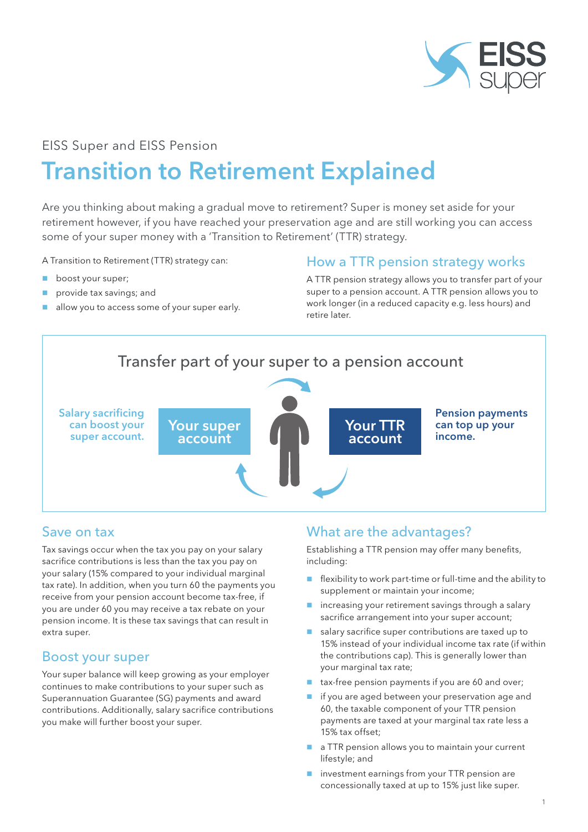

## EISS Super and EISS Pension

# Transition to Retirement Explained

Are you thinking about making a gradual move to retirement? Super is money set aside for your retirement however, if you have reached your preservation age and are still working you can access some of your super money with a 'Transition to Retirement' (TTR) strategy.

A Transition to Retirement (TTR) strategy can:

- **boost your super;**
- provide tax savings; and
- allow you to access some of your super early.

### How a TTR pension strategy works

A TTR pension strategy allows you to transfer part of your super to a pension account. A TTR pension allows you to work longer (in a reduced capacity e.g. less hours) and retire later.



#### Save on tax

Tax savings occur when the tax you pay on your salary sacrifice contributions is less than the tax you pay on your salary (15% compared to your individual marginal tax rate). In addition, when you turn 60 the payments you receive from your pension account become tax-free, if you are under 60 you may receive a tax rebate on your pension income. It is these tax savings that can result in extra super.

### Boost your super

Your super balance will keep growing as your employer continues to make contributions to your super such as Superannuation Guarantee (SG) payments and award contributions. Additionally, salary sacrifice contributions you make will further boost your super.

## What are the advantages?

Establishing a TTR pension may offer many benefits, including:

- $\blacksquare$  flexibility to work part-time or full-time and the ability to supplement or maintain your income;
- $\blacksquare$  increasing your retirement savings through a salary sacrifice arrangement into your super account;
- salary sacrifice super contributions are taxed up to 15% instead of your individual income tax rate (if within the contributions cap). This is generally lower than your marginal tax rate;
- tax-free pension payments if you are 60 and over;
- **if you are aged between your preservation age and** 60, the taxable component of your TTR pension payments are taxed at your marginal tax rate less a 15% tax offset;
- a TTR pension allows you to maintain your current lifestyle; and
- **n** investment earnings from your TTR pension are concessionally taxed at up to 15% just like super.